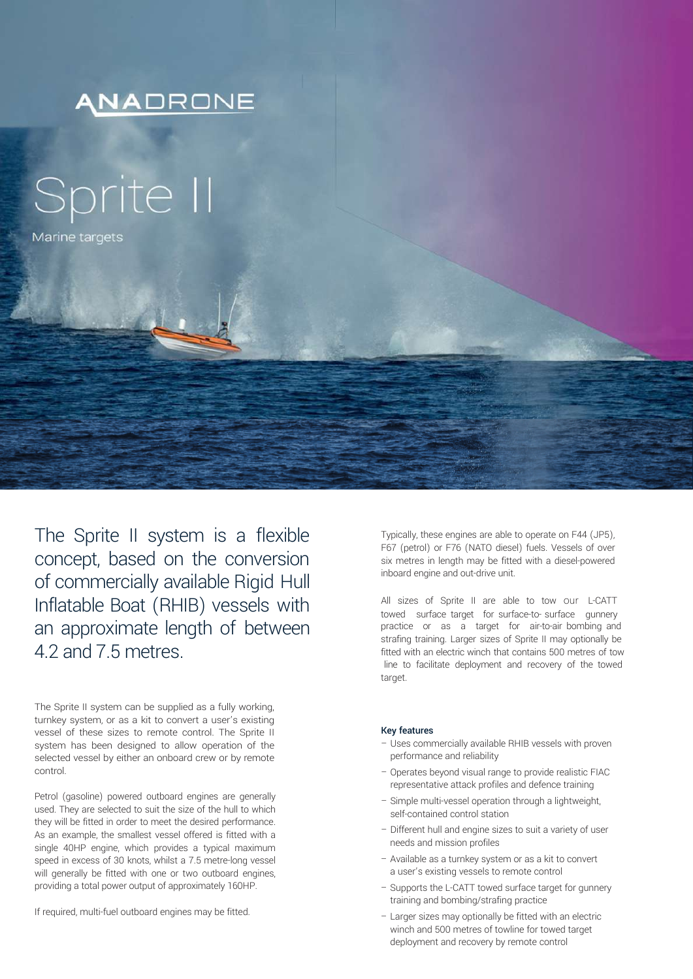

The Sprite II system is a flexible concept, based on the conversion of commercially available Rigid Hull Inflatable Boat (RHIB) vessels with an approximate length of between 4.2 and 7.5 metres.

The Sprite II system can be supplied as a fully working, turnkey system, or as a kit to convert a user's existing vessel of these sizes to remote control. The Sprite II system has been designed to allow operation of the selected vessel by either an onboard crew or by remote control.

Petrol (gasoline) powered outboard engines are generally used. They are selected to suit the size of the hull to which they will be fitted in order to meet the desired performance. As an example, the smallest vessel offered is fitted with a single 40HP engine, which provides a typical maximum speed in excess of 30 knots, whilst a 7.5 metre-long vessel will generally be fitted with one or two outboard engines, providing a total power output of approximately 160HP.

If required, multi-fuel outboard engines may be fitted.

Typically, these engines are able to operate on F44 (JP5), F67 (petrol) or F76 (NATO diesel) fuels. Vessels of over six metres in length may be fitted with a diesel-powered inboard engine and out-drive unit.

All sizes of Sprite II are able to tow our L-CATT towed surface target for surface-to- surface gunnery practice or as a target for air-to-air bombing and strafing training. Larger sizes of Sprite II may optionally be fitted with an electric winch that contains 500 metres of tow line to facilitate deployment and recovery of the towed target.

## Key features

- Uses commercially available RHIB vessels with proven performance and reliability
- Operates beyond visual range to provide realistic FIAC representative attack profiles and defence training
- Simple multi-vessel operation through a lightweight, self-contained control station
- Different hull and engine sizes to suit a variety of user needs and mission profiles
- Available as a turnkey system or as a kit to convert a user's existing vessels to remote control
- Supports the L-CATT towed surface target for gunnery training and bombing/strafing practice
- Larger sizes may optionally be fitted with an electric winch and 500 metres of towline for towed target deployment and recovery by remote control